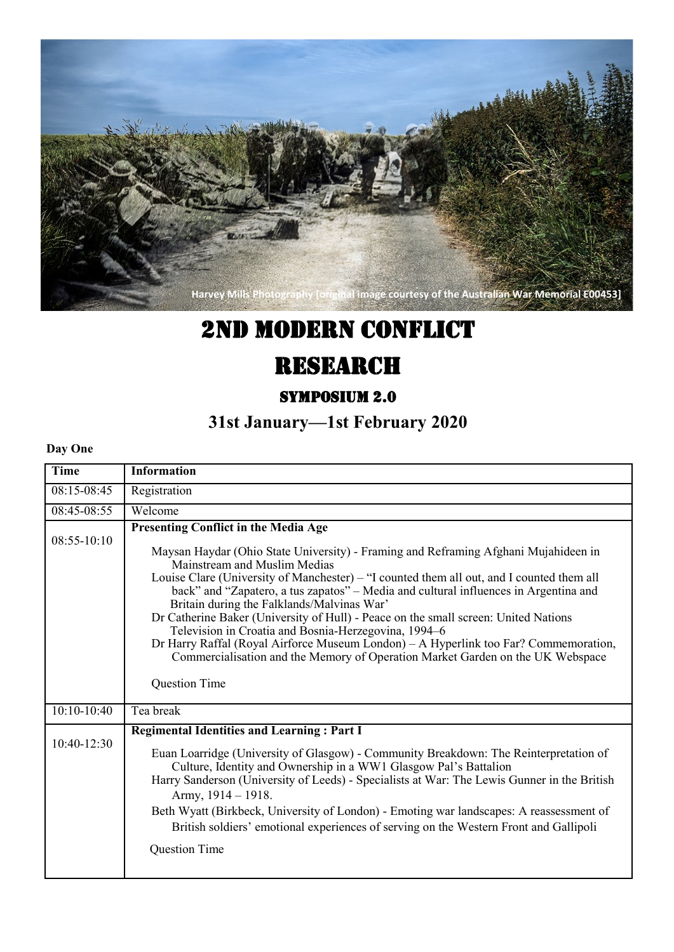

# 2nd Modern Conflict

# **RESEARCH**

## Symposium 2.0

## **31st January—1st February 2020**

#### **Day One**

| Time          | <b>Information</b>                                                                                                                                                                                                                                                                                                                                                                                                                                                                                                                                                                                                                                                                                                                                     |
|---------------|--------------------------------------------------------------------------------------------------------------------------------------------------------------------------------------------------------------------------------------------------------------------------------------------------------------------------------------------------------------------------------------------------------------------------------------------------------------------------------------------------------------------------------------------------------------------------------------------------------------------------------------------------------------------------------------------------------------------------------------------------------|
| 08:15-08:45   | Registration                                                                                                                                                                                                                                                                                                                                                                                                                                                                                                                                                                                                                                                                                                                                           |
| 08:45-08:55   | Welcome                                                                                                                                                                                                                                                                                                                                                                                                                                                                                                                                                                                                                                                                                                                                                |
| $08:55-10:10$ | <b>Presenting Conflict in the Media Age</b><br>Maysan Haydar (Ohio State University) - Framing and Reframing Afghani Mujahideen in<br>Mainstream and Muslim Medias<br>Louise Clare (University of Manchester) – "I counted them all out, and I counted them all<br>back" and "Zapatero, a tus zapatos" - Media and cultural influences in Argentina and<br>Britain during the Falklands/Malvinas War'<br>Dr Catherine Baker (University of Hull) - Peace on the small screen: United Nations<br>Television in Croatia and Bosnia-Herzegovina, 1994-6<br>Dr Harry Raffal (Royal Airforce Museum London) - A Hyperlink too Far? Commemoration,<br>Commercialisation and the Memory of Operation Market Garden on the UK Webspace<br><b>Question Time</b> |
| $10:10-10:40$ | Tea break                                                                                                                                                                                                                                                                                                                                                                                                                                                                                                                                                                                                                                                                                                                                              |
| $10:40-12:30$ | <b>Regimental Identities and Learning: Part I</b><br>Euan Loarridge (University of Glasgow) - Community Breakdown: The Reinterpretation of<br>Culture, Identity and Ownership in a WW1 Glasgow Pal's Battalion<br>Harry Sanderson (University of Leeds) - Specialists at War: The Lewis Gunner in the British<br>Army, $1914 - 1918$ .<br>Beth Wyatt (Birkbeck, University of London) - Emoting war landscapes: A reassessment of<br>British soldiers' emotional experiences of serving on the Western Front and Gallipoli<br>Question Time                                                                                                                                                                                                            |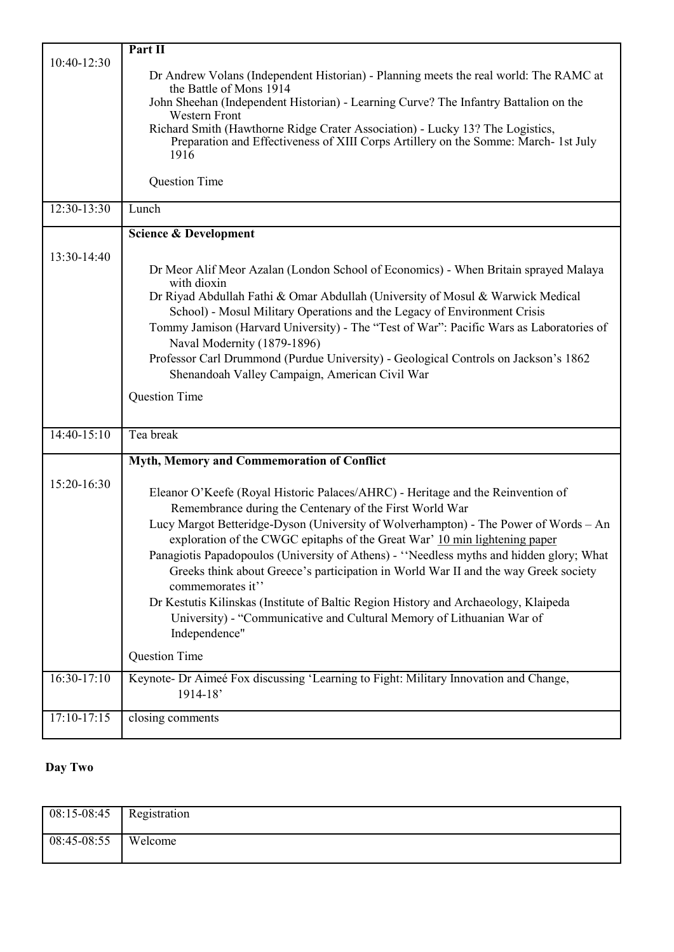|               | Part II                                                                                                                                                              |
|---------------|----------------------------------------------------------------------------------------------------------------------------------------------------------------------|
| 10:40-12:30   |                                                                                                                                                                      |
|               | Dr Andrew Volans (Independent Historian) - Planning meets the real world: The RAMC at<br>the Battle of Mons 1914                                                     |
|               | John Sheehan (Independent Historian) - Learning Curve? The Infantry Battalion on the                                                                                 |
|               | <b>Western Front</b>                                                                                                                                                 |
|               | Richard Smith (Hawthorne Ridge Crater Association) - Lucky 13? The Logistics,<br>Preparation and Effectiveness of XIII Corps Artillery on the Somme: March- 1st July |
|               | 1916                                                                                                                                                                 |
|               |                                                                                                                                                                      |
|               | Question Time                                                                                                                                                        |
| $12:30-13:30$ | Lunch                                                                                                                                                                |
|               | <b>Science &amp; Development</b>                                                                                                                                     |
| 13:30-14:40   |                                                                                                                                                                      |
|               | Dr Meor Alif Meor Azalan (London School of Economics) - When Britain sprayed Malaya                                                                                  |
|               | with dioxin<br>Dr Riyad Abdullah Fathi & Omar Abdullah (University of Mosul & Warwick Medical                                                                        |
|               | School) - Mosul Military Operations and the Legacy of Environment Crisis                                                                                             |
|               | Tommy Jamison (Harvard University) - The "Test of War": Pacific Wars as Laboratories of                                                                              |
|               | Naval Modernity (1879-1896)                                                                                                                                          |
|               | Professor Carl Drummond (Purdue University) - Geological Controls on Jackson's 1862                                                                                  |
|               | Shenandoah Valley Campaign, American Civil War                                                                                                                       |
|               | <b>Question Time</b>                                                                                                                                                 |
|               |                                                                                                                                                                      |
| $14:40-15:10$ | Tea break                                                                                                                                                            |
|               |                                                                                                                                                                      |
|               | Myth, Memory and Commemoration of Conflict                                                                                                                           |
| 15:20-16:30   | Eleanor O'Keefe (Royal Historic Palaces/AHRC) - Heritage and the Reinvention of                                                                                      |
|               | Remembrance during the Centenary of the First World War                                                                                                              |
|               | Lucy Margot Betteridge-Dyson (University of Wolverhampton) - The Power of Words - An                                                                                 |
|               | exploration of the CWGC epitaphs of the Great War' 10 min lightening paper                                                                                           |
|               | Panagiotis Papadopoulos (University of Athens) - "Needless myths and hidden glory; What                                                                              |
|               | Greeks think about Greece's participation in World War II and the way Greek society                                                                                  |
|               | commemorates it"                                                                                                                                                     |
|               | Dr Kestutis Kilinskas (Institute of Baltic Region History and Archaeology, Klaipeda                                                                                  |
|               | University) - "Communicative and Cultural Memory of Lithuanian War of<br>Independence"                                                                               |
|               |                                                                                                                                                                      |
|               | <b>Question Time</b>                                                                                                                                                 |
| $16:30-17:10$ | Keynote- Dr Aimeé Fox discussing 'Learning to Fight: Military Innovation and Change,                                                                                 |
|               | $1914 - 18'$                                                                                                                                                         |
| $17:10-17:15$ | closing comments                                                                                                                                                     |
|               |                                                                                                                                                                      |

### **Day Two**

| 08:15-08:45 | Registration |
|-------------|--------------|
| 08:45-08:55 | Welcome      |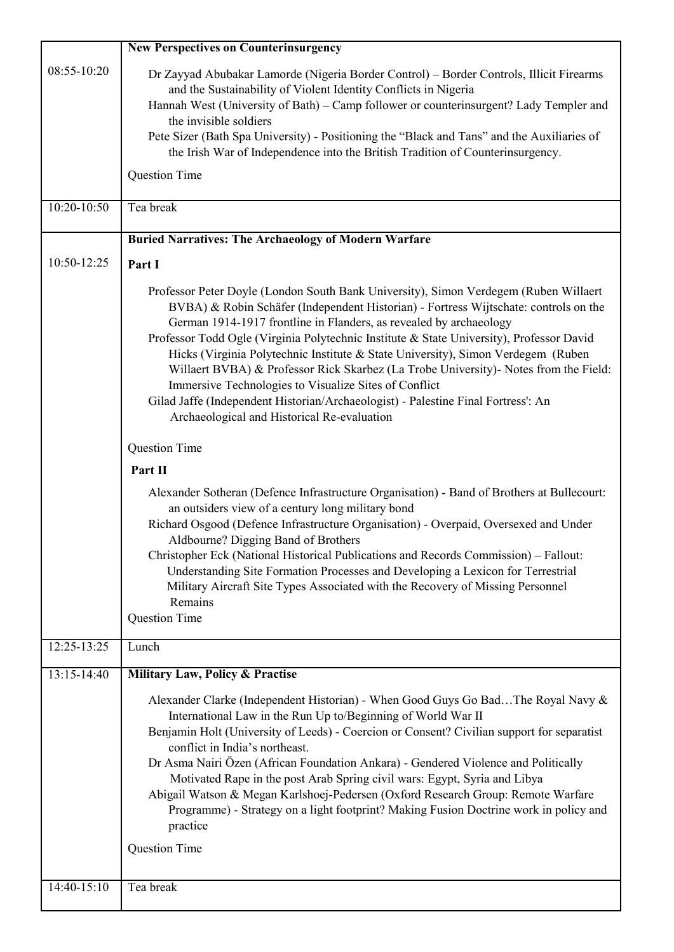|                 | <b>New Perspectives on Counterinsurgency</b>                                                                                                                                                                                                                                                                                                                                                                                                                                                                                                                                                                                                                                                                                                                                                                                                                                                                                                                                                                                                                                                                                                                                                                                                                                                                   |
|-----------------|----------------------------------------------------------------------------------------------------------------------------------------------------------------------------------------------------------------------------------------------------------------------------------------------------------------------------------------------------------------------------------------------------------------------------------------------------------------------------------------------------------------------------------------------------------------------------------------------------------------------------------------------------------------------------------------------------------------------------------------------------------------------------------------------------------------------------------------------------------------------------------------------------------------------------------------------------------------------------------------------------------------------------------------------------------------------------------------------------------------------------------------------------------------------------------------------------------------------------------------------------------------------------------------------------------------|
| 08:55-10:20     | Dr Zayyad Abubakar Lamorde (Nigeria Border Control) – Border Controls, Illicit Firearms<br>and the Sustainability of Violent Identity Conflicts in Nigeria<br>Hannah West (University of Bath) - Camp follower or counterinsurgent? Lady Templer and<br>the invisible soldiers<br>Pete Sizer (Bath Spa University) - Positioning the "Black and Tans" and the Auxiliaries of<br>the Irish War of Independence into the British Tradition of Counterinsurgency.<br>Question Time                                                                                                                                                                                                                                                                                                                                                                                                                                                                                                                                                                                                                                                                                                                                                                                                                                |
| $10:20 - 10:50$ | Tea break                                                                                                                                                                                                                                                                                                                                                                                                                                                                                                                                                                                                                                                                                                                                                                                                                                                                                                                                                                                                                                                                                                                                                                                                                                                                                                      |
|                 | <b>Buried Narratives: The Archaeology of Modern Warfare</b>                                                                                                                                                                                                                                                                                                                                                                                                                                                                                                                                                                                                                                                                                                                                                                                                                                                                                                                                                                                                                                                                                                                                                                                                                                                    |
| 10:50-12:25     | Part I                                                                                                                                                                                                                                                                                                                                                                                                                                                                                                                                                                                                                                                                                                                                                                                                                                                                                                                                                                                                                                                                                                                                                                                                                                                                                                         |
|                 | Professor Peter Doyle (London South Bank University), Simon Verdegem (Ruben Willaert<br>BVBA) & Robin Schäfer (Independent Historian) - Fortress Wijtschate: controls on the<br>German 1914-1917 frontline in Flanders, as revealed by archaeology<br>Professor Todd Ogle (Virginia Polytechnic Institute & State University), Professor David<br>Hicks (Virginia Polytechnic Institute & State University), Simon Verdegem (Ruben<br>Willaert BVBA) & Professor Rick Skarbez (La Trobe University) - Notes from the Field:<br>Immersive Technologies to Visualize Sites of Conflict<br>Gilad Jaffe (Independent Historian/Archaeologist) - Palestine Final Fortress': An<br>Archaeological and Historical Re-evaluation<br>Question Time<br>Part II<br>Alexander Sotheran (Defence Infrastructure Organisation) - Band of Brothers at Bullecourt:<br>an outsiders view of a century long military bond<br>Richard Osgood (Defence Infrastructure Organisation) - Overpaid, Oversexed and Under<br>Aldbourne? Digging Band of Brothers<br>Christopher Eck (National Historical Publications and Records Commission) - Fallout:<br>Understanding Site Formation Processes and Developing a Lexicon for Terrestrial<br>Military Aircraft Site Types Associated with the Recovery of Missing Personnel<br>Remains |
|                 | Question Time                                                                                                                                                                                                                                                                                                                                                                                                                                                                                                                                                                                                                                                                                                                                                                                                                                                                                                                                                                                                                                                                                                                                                                                                                                                                                                  |
| $12:25 - 13:25$ | Lunch                                                                                                                                                                                                                                                                                                                                                                                                                                                                                                                                                                                                                                                                                                                                                                                                                                                                                                                                                                                                                                                                                                                                                                                                                                                                                                          |
| 13:15-14:40     | Military Law, Policy & Practise<br>Alexander Clarke (Independent Historian) - When Good Guys Go BadThe Royal Navy &<br>International Law in the Run Up to/Beginning of World War II<br>Benjamin Holt (University of Leeds) - Coercion or Consent? Civilian support for separatist<br>conflict in India's northeast.<br>Dr Asma Nairi Özen (African Foundation Ankara) - Gendered Violence and Politically<br>Motivated Rape in the post Arab Spring civil wars: Egypt, Syria and Libya<br>Abigail Watson & Megan Karlshoej-Pedersen (Oxford Research Group: Remote Warfare<br>Programme) - Strategy on a light footprint? Making Fusion Doctrine work in policy and<br>practice<br>Question Time                                                                                                                                                                                                                                                                                                                                                                                                                                                                                                                                                                                                               |
| 14:40-15:10     | Tea break                                                                                                                                                                                                                                                                                                                                                                                                                                                                                                                                                                                                                                                                                                                                                                                                                                                                                                                                                                                                                                                                                                                                                                                                                                                                                                      |